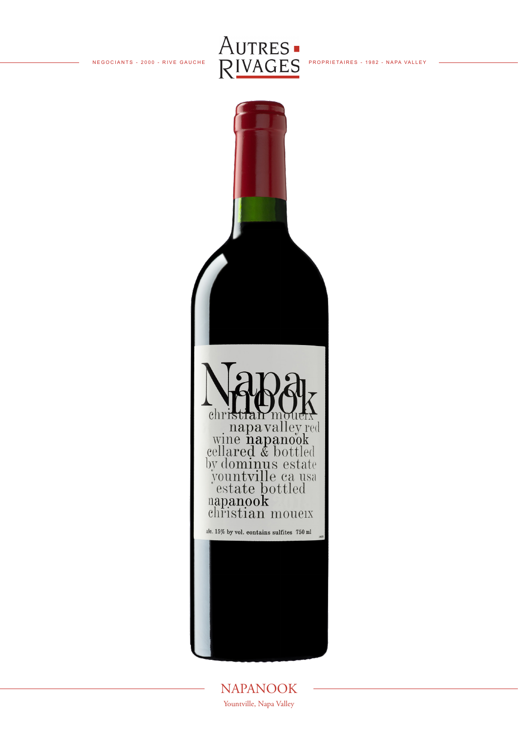



NAPANOOK Yountville, Napa Valley